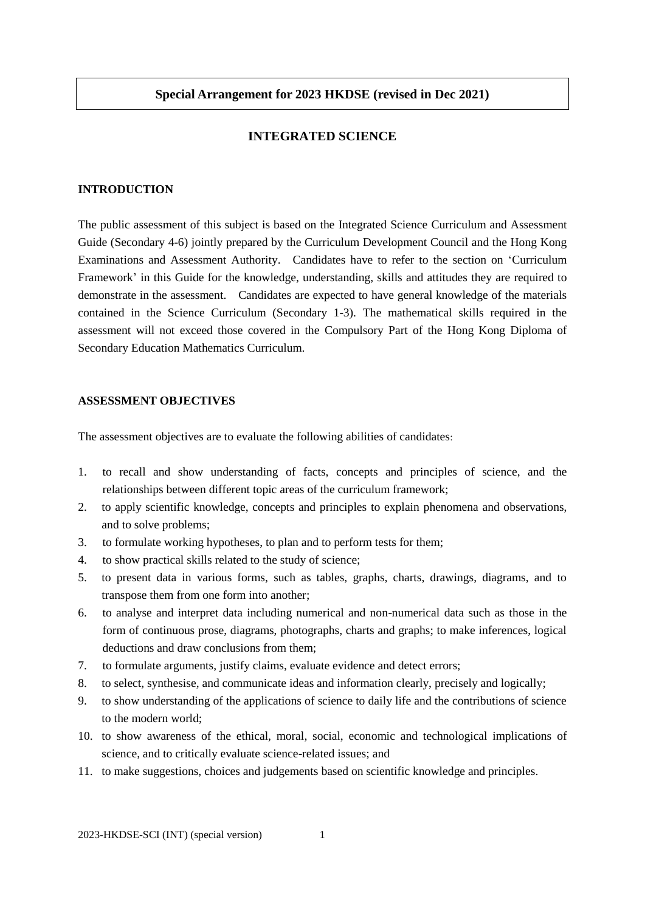## **INTEGRATED SCIENCE**

# **INTRODUCTION**

The public assessment of this subject is based on the Integrated Science Curriculum and Assessment Guide (Secondary 4-6) jointly prepared by the Curriculum Development Council and the Hong Kong Examinations and Assessment Authority. Candidates have to refer to the section on 'Curriculum Framework' in this Guide for the knowledge, understanding, skills and attitudes they are required to demonstrate in the assessment. Candidates are expected to have general knowledge of the materials contained in the Science Curriculum (Secondary 1-3). The mathematical skills required in the assessment will not exceed those covered in the Compulsory Part of the Hong Kong Diploma of Secondary Education Mathematics Curriculum.

#### **ASSESSMENT OBJECTIVES**

The assessment objectives are to evaluate the following abilities of candidates:

- 1. to recall and show understanding of facts, concepts and principles of science, and the relationships between different topic areas of the curriculum framework;
- 2. to apply scientific knowledge, concepts and principles to explain phenomena and observations, and to solve problems;
- 3. to formulate working hypotheses, to plan and to perform tests for them;
- 4. to show practical skills related to the study of science;
- 5. to present data in various forms, such as tables, graphs, charts, drawings, diagrams, and to transpose them from one form into another;
- 6. to analyse and interpret data including numerical and non-numerical data such as those in the form of continuous prose, diagrams, photographs, charts and graphs; to make inferences, logical deductions and draw conclusions from them;
- 7. to formulate arguments, justify claims, evaluate evidence and detect errors;
- 8. to select, synthesise, and communicate ideas and information clearly, precisely and logically;
- 9. to show understanding of the applications of science to daily life and the contributions of science to the modern world;
- 10. to show awareness of the ethical, moral, social, economic and technological implications of science, and to critically evaluate science-related issues; and
- 11. to make suggestions, choices and judgements based on scientific knowledge and principles.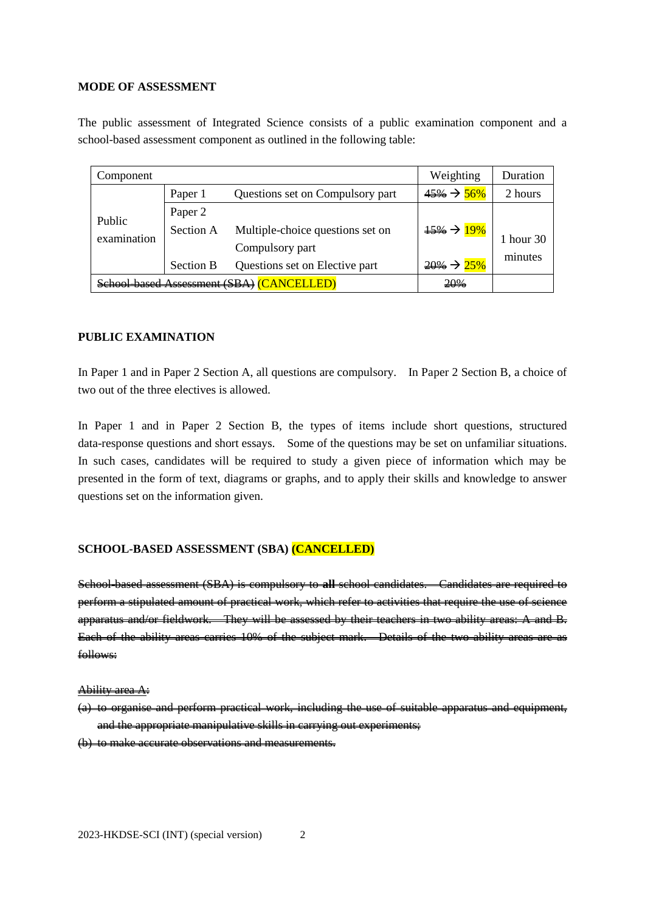### **MODE OF ASSESSMENT**

The public assessment of Integrated Science consists of a public examination component and a school-based assessment component as outlined in the following table:

| Component             |                                           |                                  | Weighting               | Duration  |
|-----------------------|-------------------------------------------|----------------------------------|-------------------------|-----------|
| Public<br>examination | Paper 1                                   | Questions set on Compulsory part | $45\% \rightarrow 56\%$ | 2 hours   |
|                       | Paper 2                                   |                                  |                         |           |
|                       | Section A                                 | Multiple-choice questions set on | $\frac{15\%}{19\%}$     | 1 hour 30 |
|                       |                                           | Compulsory part                  |                         | minutes   |
|                       | <b>Section B</b>                          | Questions set on Elective part   | $20\% \rightarrow 25\%$ |           |
|                       | <b>based Assessment (SBA) (CANCELLED)</b> | 20%                              |                         |           |

# **PUBLIC EXAMINATION**

In Paper 1 and in Paper 2 Section A, all questions are compulsory. In Paper 2 Section B, a choice of two out of the three electives is allowed.

In Paper 1 and in Paper 2 Section B, the types of items include short questions, structured data-response questions and short essays. Some of the questions may be set on unfamiliar situations. In such cases, candidates will be required to study a given piece of information which may be presented in the form of text, diagrams or graphs, and to apply their skills and knowledge to answer questions set on the information given.

## **SCHOOL-BASED ASSESSMENT (SBA) (CANCELLED)**

School-based assessment (SBA) is compulsory to **all** school candidates. Candidates are required to perform a stipulated amount of practical work, which refer to activities that require the use of science apparatus and/or fieldwork. They will be assessed by their teachers in two ability areas: A and B. Each of the ability areas carries 10% of the subject mark. Details of the two ability areas are as follows:

### Ability area A:

(a) to organise and perform practical work, including the use of suitable apparatus and equipment, and the appropriate manipulative skills in carrying out experiments; (b) to make accurate observations and measurements.